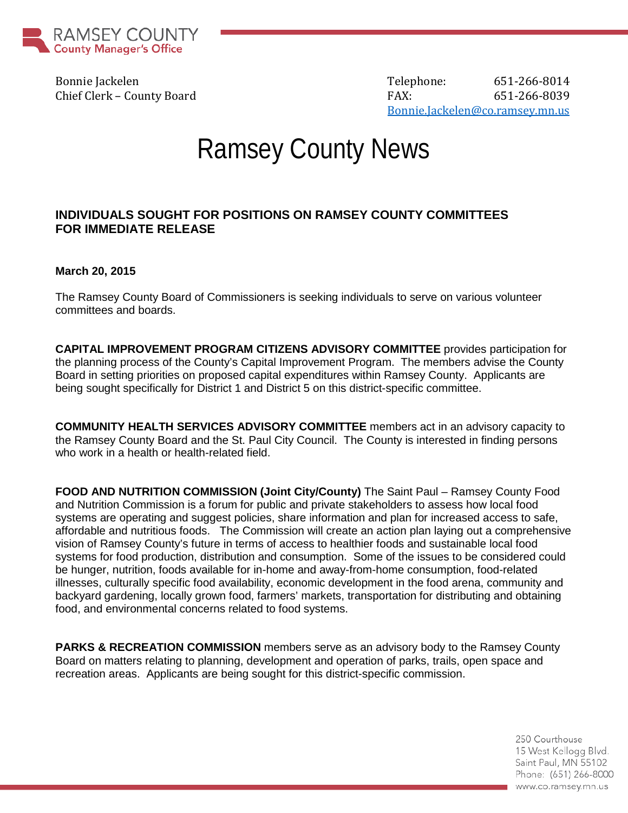

Bonnie Jackelen auch der Einstein der Telephone: 651-266-8014 Chief Clerk – County Board FAX: 651-266-8039 [Bonnie.Jackelen@co.ramsey.mn.us](mailto:Bonnie.Jackelen@co.ramsey.mn.us)

## Ramsey County News

## **INDIVIDUALS SOUGHT FOR POSITIONS ON RAMSEY COUNTY COMMITTEES FOR IMMEDIATE RELEASE**

## **March 20, 2015**

The Ramsey County Board of Commissioners is seeking individuals to serve on various volunteer committees and boards.

**CAPITAL IMPROVEMENT PROGRAM CITIZENS ADVISORY COMMITTEE** provides participation for the planning process of the County's Capital Improvement Program. The members advise the County Board in setting priorities on proposed capital expenditures within Ramsey County. Applicants are being sought specifically for District 1 and District 5 on this district-specific committee.

**COMMUNITY HEALTH SERVICES ADVISORY COMMITTEE** members act in an advisory capacity to the Ramsey County Board and the St. Paul City Council. The County is interested in finding persons who work in a health or health-related field.

**FOOD AND NUTRITION COMMISSION (Joint City/County)** The Saint Paul – Ramsey County Food and Nutrition Commission is a forum for public and private stakeholders to assess how local food systems are operating and suggest policies, share information and plan for increased access to safe, affordable and nutritious foods. The Commission will create an action plan laying out a comprehensive vision of Ramsey County's future in terms of access to healthier foods and sustainable local food systems for food production, distribution and consumption. Some of the issues to be considered could be hunger, nutrition, foods available for in-home and away-from-home consumption, food-related illnesses, culturally specific food availability, economic development in the food arena, community and backyard gardening, locally grown food, farmers' markets, transportation for distributing and obtaining food, and environmental concerns related to food systems.

**PARKS & RECREATION COMMISSION** members serve as an advisory body to the Ramsey County Board on matters relating to planning, development and operation of parks, trails, open space and recreation areas. Applicants are being sought for this district-specific commission.

> 250 Courthouse 15 West Kellogg Blvd. Saint Paul, MN 55102 Phone: (651) 266-8000 www.co.ramsey.mn.us